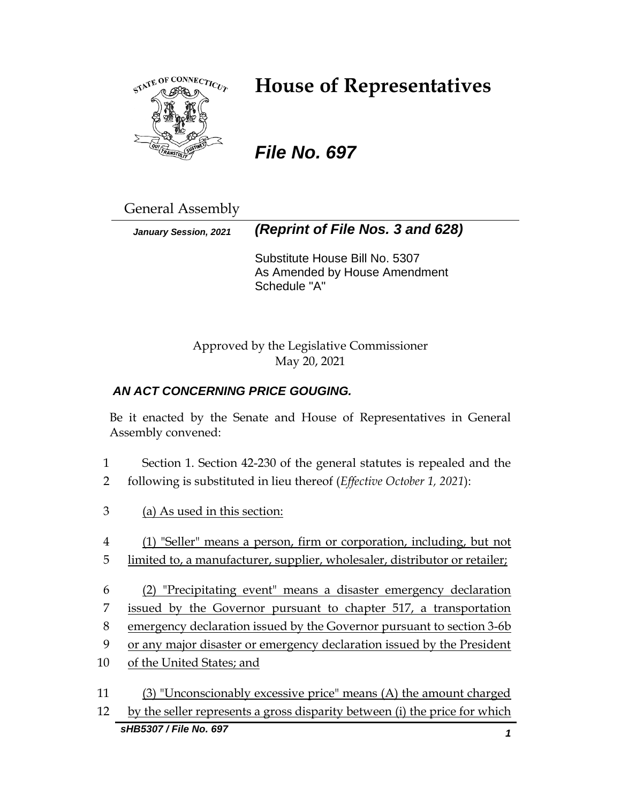

# **House of Representatives**

# *File No. 697*

General Assembly

*January Session, 2021 (Reprint of File Nos. 3 and 628)*

Substitute House Bill No. 5307 As Amended by House Amendment Schedule "A"

Approved by the Legislative Commissioner May 20, 2021

## *AN ACT CONCERNING PRICE GOUGING.*

Be it enacted by the Senate and House of Representatives in General Assembly convened:

- 1 Section 1. Section 42-230 of the general statutes is repealed and the 2 following is substituted in lieu thereof (*Effective October 1, 2021*):
- 3 (a) As used in this section:
- 4 (1) "Seller" means a person, firm or corporation, including, but not
- 5 limited to, a manufacturer, supplier, wholesaler, distributor or retailer;
- 6 (2) "Precipitating event" means a disaster emergency declaration 7 issued by the Governor pursuant to chapter 517, a transportation 8 emergency declaration issued by the Governor pursuant to section 3-6b
- 9 or any major disaster or emergency declaration issued by the President
- 10 of the United States; and
- *sHB5307 / File No. 697 1* 11 (3) "Unconscionably excessive price" means (A) the amount charged 12 by the seller represents a gross disparity between (i) the price for which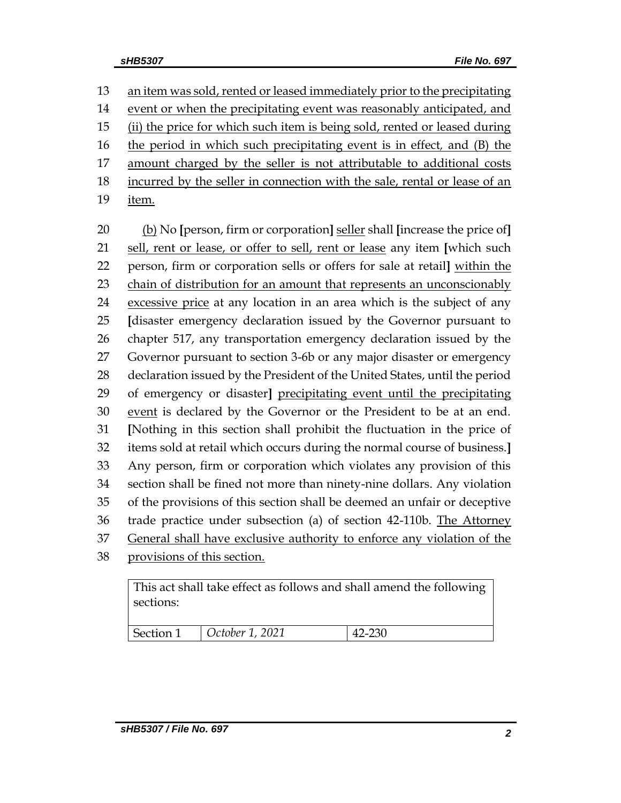13 an item was sold, rented or leased immediately prior to the precipitating event or when the precipitating event was reasonably anticipated, and (ii) the price for which such item is being sold, rented or leased during the period in which such precipitating event is in effect*,* and (B) the amount charged by the seller is not attributable to additional costs incurred by the seller in connection with the sale, rental or lease of an

item.

 (b) No **[**person, firm or corporation**]** seller shall **[**increase the price of**]** sell, rent or lease, or offer to sell, rent or lease any item **[**which such person, firm or corporation sells or offers for sale at retail**]** within the chain of distribution for an amount that represents an unconscionably excessive price at any location in an area which is the subject of any **[**disaster emergency declaration issued by the Governor pursuant to chapter 517, any transportation emergency declaration issued by the Governor pursuant to section 3-6b or any major disaster or emergency declaration issued by the President of the United States, until the period of emergency or disaster**]** precipitating event until the precipitating 30 event is declared by the Governor or the President to be at an end. **[**Nothing in this section shall prohibit the fluctuation in the price of items sold at retail which occurs during the normal course of business.**]** Any person, firm or corporation which violates any provision of this section shall be fined not more than ninety-nine dollars. Any violation of the provisions of this section shall be deemed an unfair or deceptive trade practice under subsection (a) of section 42-110b. The Attorney General shall have exclusive authority to enforce any violation of the provisions of this section.

This act shall take effect as follows and shall amend the following sections:

| Section 1<br>October 1, 2021<br>റാറ |
|-------------------------------------|
|-------------------------------------|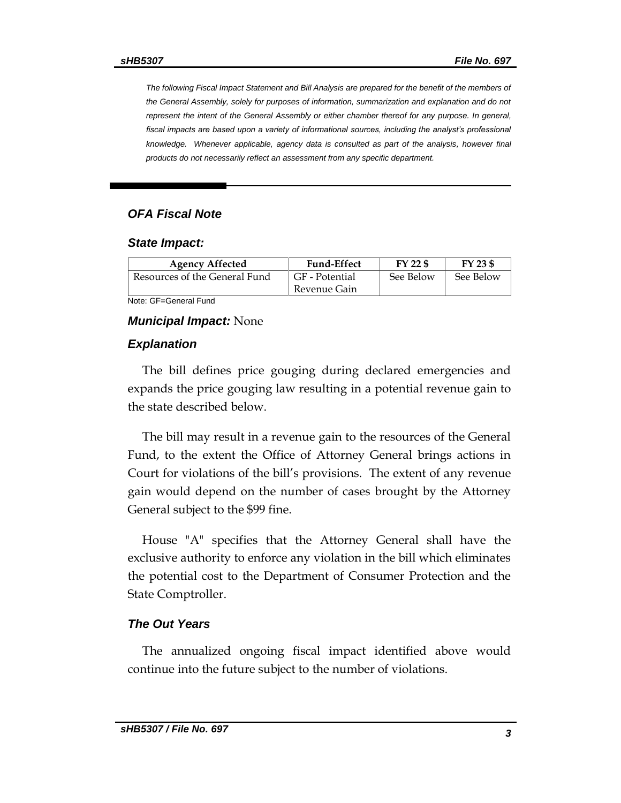*The following Fiscal Impact Statement and Bill Analysis are prepared for the benefit of the members of the General Assembly, solely for purposes of information, summarization and explanation and do not represent the intent of the General Assembly or either chamber thereof for any purpose. In general, fiscal impacts are based upon a variety of informational sources, including the analyst's professional knowledge. Whenever applicable, agency data is consulted as part of the analysis, however final products do not necessarily reflect an assessment from any specific department.*

#### *OFA Fiscal Note*

#### *State Impact:*

| <b>Agency Affected</b>        | <b>Fund-Effect</b> | FY 22 \$  | FY 23 \$  |
|-------------------------------|--------------------|-----------|-----------|
| Resources of the General Fund | GF - Potential     | See Below | See Below |
|                               | Revenue Gain       |           |           |

Note: GF=General Fund

#### *Municipal Impact:* None

#### *Explanation*

The bill defines price gouging during declared emergencies and expands the price gouging law resulting in a potential revenue gain to the state described below.

The bill may result in a revenue gain to the resources of the General Fund, to the extent the Office of Attorney General brings actions in Court for violations of the bill's provisions. The extent of any revenue gain would depend on the number of cases brought by the Attorney General subject to the \$99 fine.

House "A" specifies that the Attorney General shall have the exclusive authority to enforce any violation in the bill which eliminates the potential cost to the Department of Consumer Protection and the State Comptroller.

#### *The Out Years*

The annualized ongoing fiscal impact identified above would continue into the future subject to the number of violations.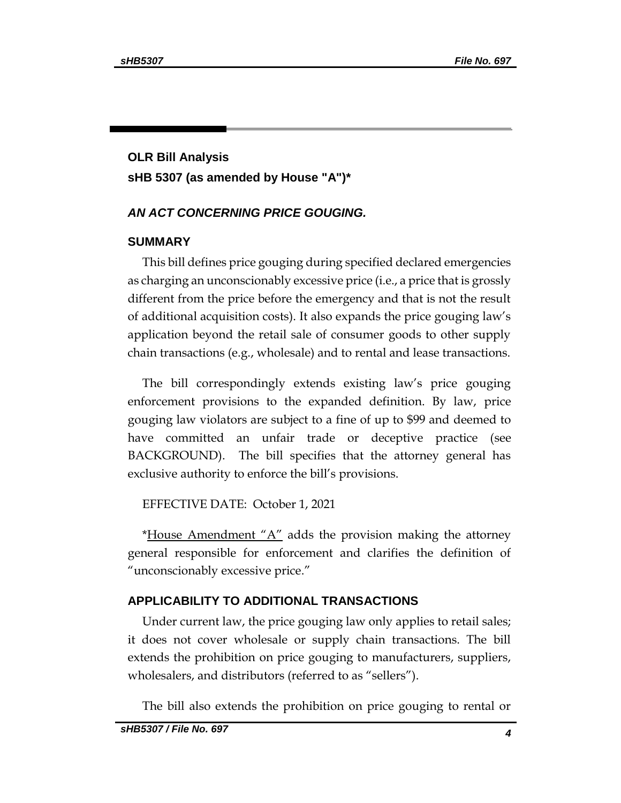# **OLR Bill Analysis sHB 5307 (as amended by House "A")\***

#### *AN ACT CONCERNING PRICE GOUGING.*

#### **SUMMARY**

This bill defines price gouging during specified declared emergencies as charging an unconscionably excessive price (i.e., a price that is grossly different from the price before the emergency and that is not the result of additional acquisition costs). It also expands the price gouging law's application beyond the retail sale of consumer goods to other supply chain transactions (e.g., wholesale) and to rental and lease transactions.

The bill correspondingly extends existing law's price gouging enforcement provisions to the expanded definition. By law, price gouging law violators are subject to a fine of up to \$99 and deemed to have committed an unfair trade or deceptive practice (see BACKGROUND). The bill specifies that the attorney general has exclusive authority to enforce the bill's provisions.

EFFECTIVE DATE: October 1, 2021

\*House Amendment " $A$ " adds the provision making the attorney general responsible for enforcement and clarifies the definition of "unconscionably excessive price."

#### **APPLICABILITY TO ADDITIONAL TRANSACTIONS**

Under current law, the price gouging law only applies to retail sales; it does not cover wholesale or supply chain transactions. The bill extends the prohibition on price gouging to manufacturers, suppliers, wholesalers, and distributors (referred to as "sellers").

The bill also extends the prohibition on price gouging to rental or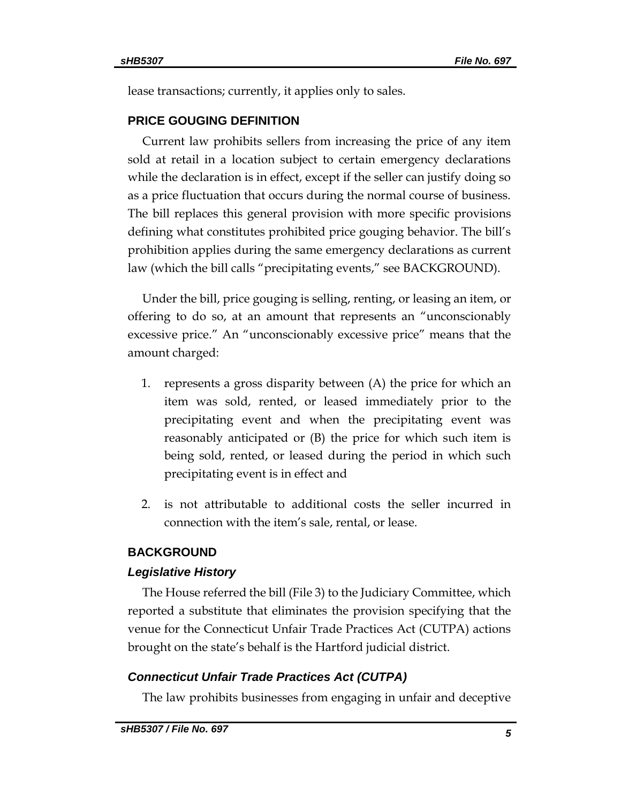lease transactions; currently, it applies only to sales.

### **PRICE GOUGING DEFINITION**

Current law prohibits sellers from increasing the price of any item sold at retail in a location subject to certain emergency declarations while the declaration is in effect, except if the seller can justify doing so as a price fluctuation that occurs during the normal course of business. The bill replaces this general provision with more specific provisions defining what constitutes prohibited price gouging behavior. The bill's prohibition applies during the same emergency declarations as current law (which the bill calls "precipitating events," see BACKGROUND).

Under the bill, price gouging is selling, renting, or leasing an item, or offering to do so, at an amount that represents an "unconscionably excessive price." An "unconscionably excessive price" means that the amount charged:

- 1. represents a gross disparity between (A) the price for which an item was sold, rented, or leased immediately prior to the precipitating event and when the precipitating event was reasonably anticipated or (B) the price for which such item is being sold, rented, or leased during the period in which such precipitating event is in effect and
- 2. is not attributable to additional costs the seller incurred in connection with the item's sale, rental, or lease.

### **BACKGROUND**

#### *Legislative History*

The House referred the bill (File 3) to the Judiciary Committee, which reported a substitute that eliminates the provision specifying that the venue for the Connecticut Unfair Trade Practices Act (CUTPA) actions brought on the state's behalf is the Hartford judicial district.

### *Connecticut Unfair Trade Practices Act (CUTPA)*

The law prohibits businesses from engaging in unfair and deceptive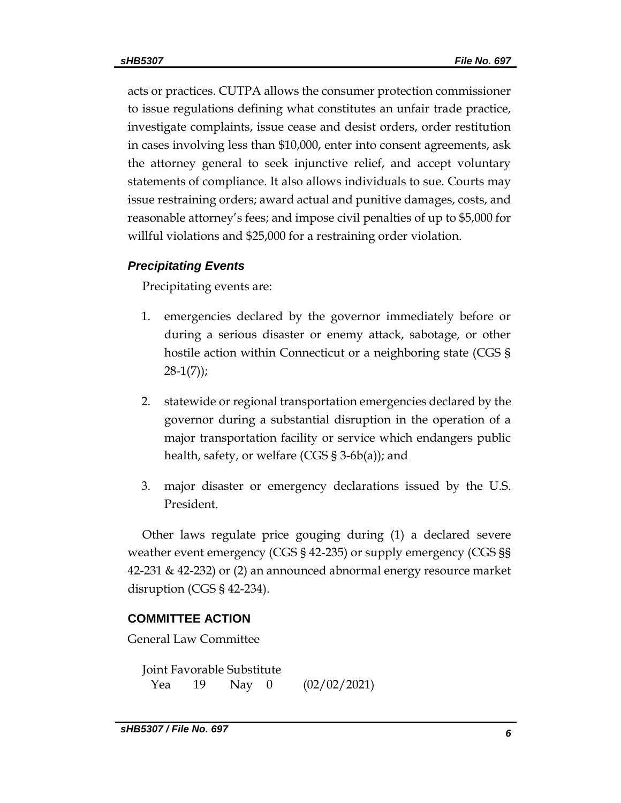acts or practices. CUTPA allows the consumer protection commissioner to issue regulations defining what constitutes an unfair trade practice, investigate complaints, issue cease and desist orders, order restitution in cases involving less than \$10,000, enter into consent agreements, ask the attorney general to seek injunctive relief, and accept voluntary statements of compliance. It also allows individuals to sue. Courts may issue restraining orders; award actual and punitive damages, costs, and reasonable attorney's fees; and impose civil penalties of up to \$5,000 for willful violations and \$25,000 for a restraining order violation.

### *Precipitating Events*

Precipitating events are:

- 1. emergencies declared by the governor immediately before or during a serious disaster or enemy attack, sabotage, or other hostile action within Connecticut or a neighboring state (CGS §  $28-1(7)$ ;
- 2. statewide or regional transportation emergencies declared by the governor during a substantial disruption in the operation of a major transportation facility or service which endangers public health, safety, or welfare (CGS § 3-6b(a)); and
- 3. major disaster or emergency declarations issued by the U.S. President.

Other laws regulate price gouging during (1) a declared severe weather event emergency (CGS § 42-235) or supply emergency (CGS §§ 42-231 & 42-232) or (2) an announced abnormal energy resource market disruption (CGS § 42-234).

## **COMMITTEE ACTION**

General Law Committee

Joint Favorable Substitute Yea 19 Nay 0 (02/02/2021)